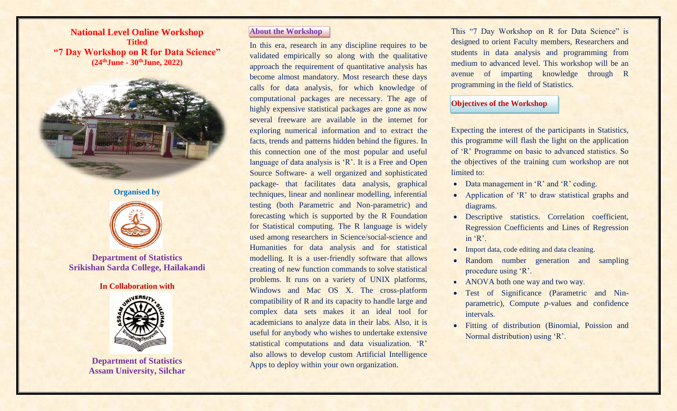**National Level Online Workshop Titled "7 Day Workshop on R for Data Science" (24thJune - 30thJune, 2022)**



**Organised by** 



**Department of Statistics Srikishan Sarda College, Hailakandi**

#### **In Collaboration with**



**Department of Statistics Assam University, Silchar**

## **About the Workshop**

In this era, research in any discipline requires to be validated empirically so along with the qualitative approach the requirement of quantitative analysis has become almost mandatory. Most research these days calls for data analysis, for which knowledge of computational packages are necessary. The age of highly expensive statistical packages are gone as now several freeware are available in the internet for exploring numerical information and to extract the facts, trends and patterns hidden behind the figures. In this connection one of the most popular and useful language of data analysis is 'R'. It is a Free and Open Source Software- a well organized and sophisticated package- that facilitates data analysis, graphical techniques, linear and nonlinear modelling, inferential testing (both Parametric and Non-parametric) and forecasting which is supported by the R Foundation for Statistical computing. The R language is widely used among researchers in Science/social-science and Humanities for data analysis and for statistical modelling. It is a user-friendly software that allows creating of new function commands to solve statistical problems. It runs on a variety of UNIX platforms, Windows and Mac OS X. The cross-platform compatibility of R and its capacity to handle large and complex data sets makes it an ideal tool for academicians to analyze data in their labs. Also, it is useful for anybody who wishes to undertake extensive statistical computations and data visualization. 'R' also allows to develop custom Artificial Intelligence Apps to deploy within your own organization.

This "7 Day Workshop on R for Data Science" is designed to orient Faculty members, Researchers and students in data analysis and programming from medium to advanced level. This workshop will be an avenue of imparting knowledge through R programming in the field of Statistics.

## **Objectives of the Workshop**

Expecting the interest of the participants in Statistics, this programme will flash the light on the application of 'R' Programme on basic to advanced statistics. So the objectives of the training cum workshop are not limited to:

- Data management in 'R' and 'R' coding.
- Application of 'R' to draw statistical graphs and diagrams.
- Descriptive statistics. Correlation coefficient, Regression Coefficients and Lines of Regression in 'R'.
- Import data, code editing and data cleaning.
- Random number generation and sampling procedure using 'R'.
- ANOVA both one way and two way.
- Test of Significance (Parametric and Ninparametric), Compute *p*-values and confidence intervals.
- Fitting of distribution (Binomial, Poission and Normal distribution) using 'R'.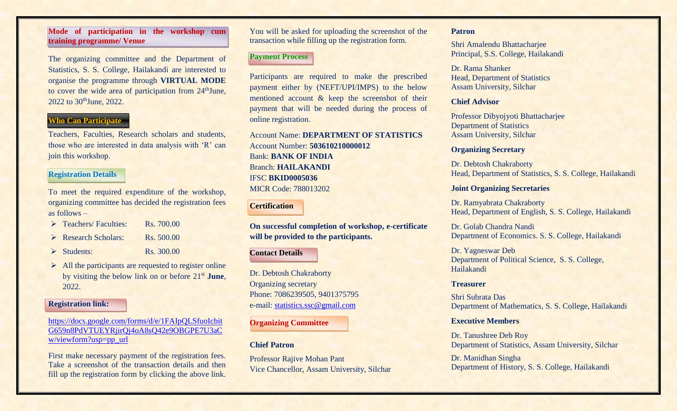## **Mode of participation in the workshop cum training programme/ Venue**

The organizing committee and the Department of Statistics, S. S. College, Hailakandi are interested to organise the programme through **VIRTUAL MODE**  to cover the wide area of participation from 24<sup>th</sup>June, 2022 to 30<sup>th</sup>June, 2022.

# **Who Can Participate**

Teachers, Faculties, Research scholars and students, those who are interested in data analysis with 'R' can join this workshop.

## **Registration Details**

To meet the required expenditure of the workshop, organizing committee has decided the registration fees as follows –  $T = \frac{1}{2}$   $R = \frac{700.00}{2}$ 

| $\triangleright$ Leachers/Faculties: | <b>RS.</b> 700.00 |
|--------------------------------------|-------------------|
| $\triangleright$ Research Scholars:  | $R_s$ , 500.00    |
| $\triangleright$ Students:           | Rs. 300.00        |

 $\triangleright$  All the participants are requested to register online by visiting the below link on or before 21st **June**, 2022.

#### **Registration link:**

[https://docs.google.com/forms/d/e/1FAIpQLSfuoIcbit](https://docs.google.com/forms/d/e/1FAIpQLSfuoIcbitG659n8PdVTUEYRjirQj4oA8sQ42e9OBGPE7U3aCw/viewform?usp=pp_url) [G659n8PdVTUEYRjirQj4oA8sQ42e9OBGPE7U3aC](https://docs.google.com/forms/d/e/1FAIpQLSfuoIcbitG659n8PdVTUEYRjirQj4oA8sQ42e9OBGPE7U3aCw/viewform?usp=pp_url) [w/viewform?usp=pp\\_url](https://docs.google.com/forms/d/e/1FAIpQLSfuoIcbitG659n8PdVTUEYRjirQj4oA8sQ42e9OBGPE7U3aCw/viewform?usp=pp_url)

First make necessary payment of the registration fees. Take a screenshot of the transaction details and then fill up the registration form by clicking the above link. You will be asked for uploading the screenshot of the transaction while filling up the registration form.

## **Payment Process**

Participants are required to make the prescribed payment either by (NEFT/UPI/IMPS) to the below mentioned account & keep the screenshot of their payment that will be needed during the process of online registration.

Account Name: **DEPARTMENT OF STATISTICS**  Account Number: **503610210000012**  Bank: **BANK OF INDIA**  Branch: **HAILAKANDI**  IFSC **BKID0005036**  MICR Code: 788013202

**Certification** 

**On successful completion of workshop, e-certificate will be provided to the participants.** 

#### **Contact Details**

Dr. Debtosh Chakraborty Organizing secretary Phone: 7086239505, 9401375795 e-mail: [statistics.ssc@gmail.com](mailto:statistics.ssc@gmail.com)

**Organizing Committee**

### **Chief Patron**

Professor Rajive Mohan Pant Vice Chancellor, Assam University, Silchar

#### **Patron**

Shri Amalendu Bhattacharjee Principal, S.S. College, Hailakandi

Dr. Rama Shanker Head, Department of Statistics Assam University, Silchar

## **Chief Advisor**

Professor Dibyojyoti Bhattacharjee Department of Statistics Assam University, Silchar

### **Organizing Secretary**

Dr. Debtosh Chakraborty Head, Department of Statistics, S. S. College, Hailakandi

#### **Joint Organizing Secretaries**

Dr. Ramyabrata Chakraborty Head, Department of English, S. S. College, Hailakandi

Dr. Golab Chandra Nandi Department of Economics. S. S. College, Hailakandi

Dr. Yagneswar Deb Department of Political Science, S. S. College, Hailakandi

### **Treasurer**

Shri Subrata Das Department of Mathematics, S. S. College, Hailakandi

### **Executive Members**

Dr. Tanushree Deb Roy Department of Statistics, Assam University, Silchar

Dr. Manidhan Singha Department of History, S. S. College, Hailakandi